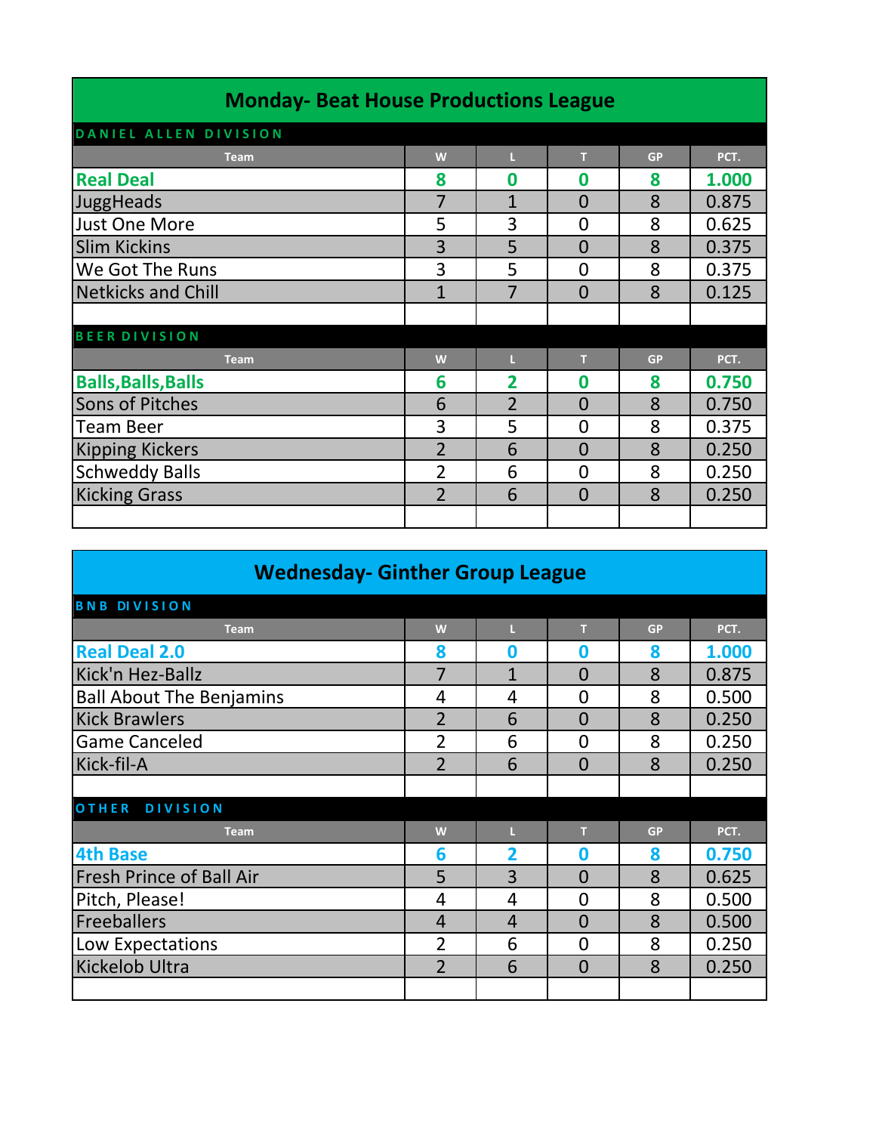| <b>Monday-Beat House Productions League</b> |                |                |                |           |       |
|---------------------------------------------|----------------|----------------|----------------|-----------|-------|
| DANIEL ALLEN DIVISION                       |                |                |                |           |       |
| <b>Team</b>                                 | W              |                | т              | <b>GP</b> | PCT.  |
| <b>Real Deal</b>                            | 8              | Ω              | Ω              | 8         | 1.000 |
| JuggHeads                                   | 7              | $\overline{1}$ | $\overline{0}$ | 8         | 0.875 |
| <b>Just One More</b>                        | 5              | 3              | 0              | 8         | 0.625 |
| <b>Slim Kickins</b>                         | 3              | 5              | $\overline{0}$ | 8         | 0.375 |
| We Got The Runs                             | 3              | 5              | 0              | 8         | 0.375 |
| <b>Netkicks and Chill</b>                   | $\mathbf{1}$   | 7              | 0              | 8         | 0.125 |
|                                             |                |                |                |           |       |
| <b>BEER DIVISION</b>                        |                |                |                |           |       |
| <b>Team</b>                                 | W              | п              | T              | <b>GP</b> | PCT.  |
| <b>Balls, Balls, Balls</b>                  | 6              | $\overline{2}$ | 0              | 8         | 0.750 |
| <b>Sons of Pitches</b>                      | 6              | $\overline{2}$ | $\overline{0}$ | 8         | 0.750 |
| <b>Team Beer</b>                            | 3              | 5              | 0              | 8         | 0.375 |
| <b>Kipping Kickers</b>                      | $\overline{2}$ | 6              | $\overline{0}$ | 8         | 0.250 |
| <b>Schweddy Balls</b>                       | $\overline{2}$ | 6              | 0              | 8         | 0.250 |
| <b>Kicking Grass</b>                        | $\overline{2}$ | 6              | $\Omega$       | 8         | 0.250 |
|                                             |                |                |                |           |       |

### **Wednesday- Ginther Group League**

| <b>BNB DIVISION</b>             |                |                |                |           |       |
|---------------------------------|----------------|----------------|----------------|-----------|-------|
| <b>Team</b>                     | W              |                | т              | <b>GP</b> | PCT.  |
| <b>Real Deal 2.0</b>            | 8              | O              | 0              | 8         | 1.000 |
| Kick'n Hez-Ballz                | 7              | $\overline{1}$ | $\overline{0}$ | 8         | 0.875 |
| <b>Ball About The Benjamins</b> | 4              | 4              | 0              | 8         | 0.500 |
| <b>Kick Brawlers</b>            | $\overline{2}$ | 6              | $\overline{0}$ | 8         | 0.250 |
| <b>Game Canceled</b>            | 2              | 6              | 0              | 8         | 0.250 |
| Kick-fil-A                      | $\overline{2}$ | 6              | 0              | 8         | 0.250 |
|                                 |                |                |                |           |       |
| <b>OTHER</b><br><b>DIVISION</b> |                |                |                |           |       |
| <b>Team</b>                     | W              |                | т              | <b>GP</b> | PCT.  |
| <b>4th Base</b>                 | 6              | 2              | 0              | 8         | 0.750 |
| <b>Fresh Prince of Ball Air</b> | 5              | 3              | $\overline{0}$ | 8         | 0.625 |
| Pitch, Please!                  | 4              | 4              | 0              | 8         | 0.500 |
| Freeballers                     | $\overline{4}$ | 4              | $\overline{0}$ | 8         | 0.500 |
| Low Expectations                | $\overline{2}$ | 6              | 0              | 8         | 0.250 |
| <b>Kickelob Ultra</b>           | $\overline{2}$ | 6              | $\Omega$       | 8         | 0.250 |
|                                 |                |                |                |           |       |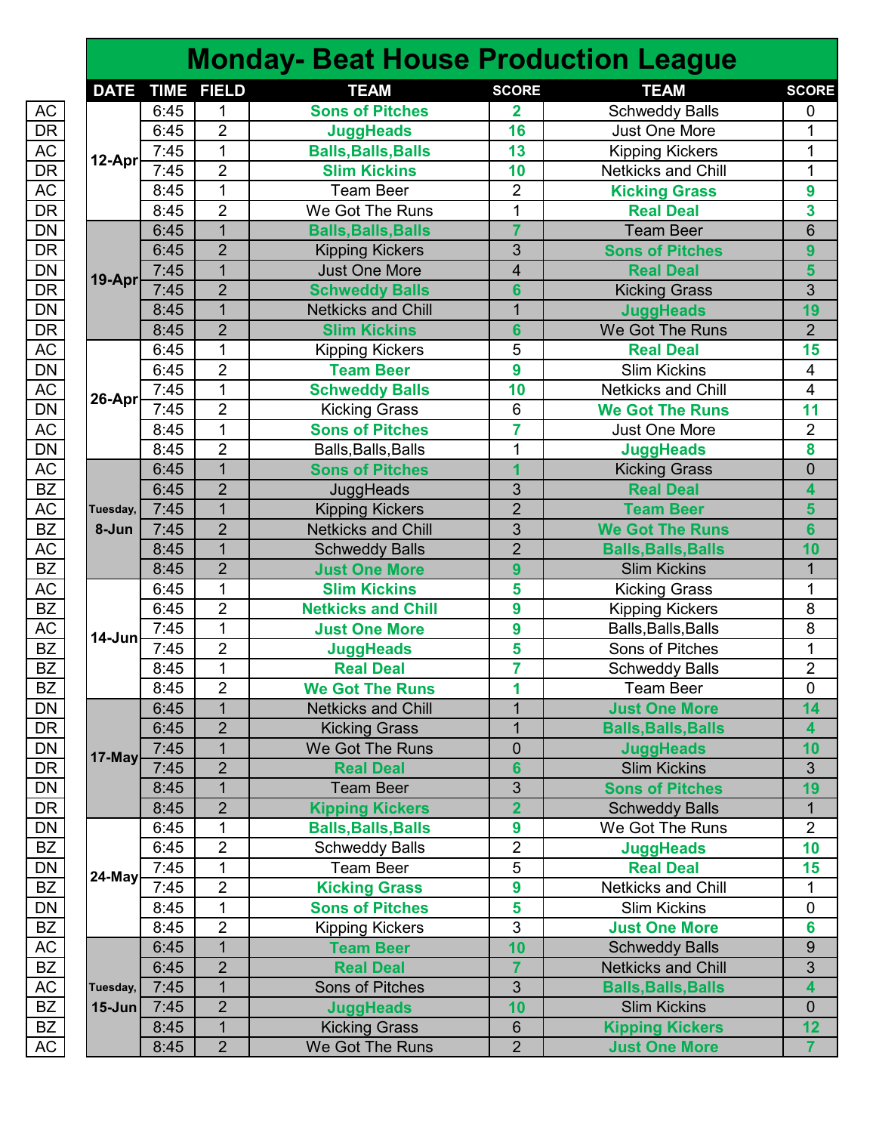### **Monday- Beat House Production League**

|                          |             |      |                   |                            |                 | æ.                         |                |
|--------------------------|-------------|------|-------------------|----------------------------|-----------------|----------------------------|----------------|
|                          | <b>DATE</b> |      | <b>TIME FIELD</b> | <b>TEAM</b>                | <b>SCORE</b>    | <b>TEAM</b>                | <b>SCORE</b>   |
| AC                       |             | 6:45 | 1                 | <b>Sons of Pitches</b>     | 2               | <b>Schweddy Balls</b>      | 0              |
| $\overline{\mathsf{DR}}$ |             | 6:45 | $\overline{2}$    | <b>JuggHeads</b>           | 16              | Just One More              | 1              |
| AC                       | 12-Apr      | 7:45 | 1                 | <b>Balls, Balls, Balls</b> | 13              | <b>Kipping Kickers</b>     | 1              |
|                          |             | 7:45 | $\overline{2}$    | <b>Slim Kickins</b>        | 10              | Netkicks and Chill         | 1              |
|                          |             | 8:45 | $\mathbf{1}$      | <b>Team Beer</b>           | $\overline{2}$  | <b>Kicking Grass</b>       | 9              |
| DR<br>AC<br>DR           |             | 8:45 | $\overline{2}$    | We Got The Runs            | 1               | <b>Real Deal</b>           | 3              |
|                          |             | 6:45 | $\overline{1}$    | <b>Balls, Balls, Balls</b> | $\overline{7}$  | <b>Team Beer</b>           | 6              |
| DN<br>DR<br>DN<br>DR     |             | 6:45 | $\overline{2}$    | <b>Kipping Kickers</b>     | 3               | <b>Sons of Pitches</b>     | $\overline{9}$ |
|                          |             | 7:45 | $\mathbf{1}$      | <b>Just One More</b>       | $\overline{4}$  | <b>Real Deal</b>           | 5              |
|                          | 19-Apr      | 7:45 | $\overline{2}$    | <b>Schweddy Balls</b>      | 6               | <b>Kicking Grass</b>       | 3              |
| $\overline{\mathsf{DN}}$ |             | 8:45 | $\overline{1}$    | <b>Netkicks and Chill</b>  | $\overline{1}$  | <b>JuggHeads</b>           | 19             |
| $\overline{\mathsf{DR}}$ |             | 8:45 | $\overline{2}$    | <b>Slim Kickins</b>        | 6               | We Got The Runs            | $\overline{2}$ |
| AC                       |             | 6:45 | $\mathbf{1}$      | <b>Kipping Kickers</b>     | 5               | <b>Real Deal</b>           | 15             |
|                          |             | 6:45 | 2                 | <b>Team Beer</b>           | 9               | <b>Slim Kickins</b>        | 4              |
| DN<br>AC<br>DN           |             | 7:45 | 1                 | <b>Schweddy Balls</b>      | 10              | Netkicks and Chill         | 4              |
|                          | 26-Apr      | 7:45 | $\overline{2}$    | <b>Kicking Grass</b>       | 6               | <b>We Got The Runs</b>     | 11             |
|                          |             | 8:45 | $\mathbf{1}$      | <b>Sons of Pitches</b>     | 7               | <b>Just One More</b>       | $\overline{2}$ |
| AC<br>DN                 |             | 8:45 | $\overline{2}$    | Balls, Balls, Balls        | 1               | <b>JuggHeads</b>           | 8              |
| AC                       |             | 6:45 | $\overline{1}$    | <b>Sons of Pitches</b>     | 1               | <b>Kicking Grass</b>       | $\overline{0}$ |
| BZ                       |             | 6:45 | $\overline{2}$    | JuggHeads                  | 3               | <b>Real Deal</b>           | 4              |
|                          | Tuesday,    | 7:45 | $\mathbf{1}$      | <b>Kipping Kickers</b>     | $\overline{2}$  | <b>Team Beer</b>           | 5              |
| AC<br>BZ                 | 8-Jun       | 7:45 | $\overline{2}$    | <b>Netkicks and Chill</b>  | 3               | <b>We Got The Runs</b>     | $6\phantom{a}$ |
| AC                       |             | 8:45 | $\overline{1}$    | <b>Schweddy Balls</b>      | $\overline{2}$  | <b>Balls, Balls, Balls</b> | 10             |
| $\overline{BZ}$          |             | 8:45 | $\overline{2}$    | <b>Just One More</b>       | 9               | <b>Slim Kickins</b>        | 1              |
|                          |             | 6:45 | 1                 | <b>Slim Kickins</b>        | 5               | <b>Kicking Grass</b>       | 1              |
| AC<br>BZ                 |             | 6:45 | $\overline{2}$    | <b>Netkicks and Chill</b>  | 9               | <b>Kipping Kickers</b>     | 8              |
|                          |             | 7:45 | $\mathbf{1}$      | <b>Just One More</b>       | 9               | Balls, Balls, Balls        | 8              |
| AC<br>BZ                 | $14$ -Jun   | 7:45 | $\overline{2}$    | <b>JuggHeads</b>           | 5               | Sons of Pitches            | 1              |
| BZ                       |             | 8:45 | $\mathbf{1}$      | <b>Real Deal</b>           | $\overline{7}$  | <b>Schweddy Balls</b>      | $\overline{2}$ |
|                          |             | 8:45 | $\overline{2}$    | <b>We Got The Runs</b>     | 1               | <b>Team Beer</b>           | 0              |
| BZ_DN_DR_DN_DR_DN_BZ_    |             | 6:45 | $\mathbf{1}$      | <b>Netkicks and Chill</b>  | $\mathbf 1$     | <b>Just One More</b>       | 14             |
|                          |             | 6:45 | $\overline{2}$    | <b>Kicking Grass</b>       | 1               | <b>Balls, Balls, Balls</b> | 4              |
|                          |             | 7:45 | $\mathbf{1}$      | We Got The Runs            | 0               | <b>JuggHeads</b>           | 10             |
|                          | 17-May      | 7:45 | $\overline{2}$    | <b>Real Deal</b>           | 6               | <b>Slim Kickins</b>        | 3              |
|                          |             | 8:45 | $\mathbf{1}$      | <b>Team Beer</b>           | 3               | <b>Sons of Pitches</b>     | 19             |
|                          |             | 8:45 | $\overline{2}$    | <b>Kipping Kickers</b>     | $\overline{2}$  | <b>Schweddy Balls</b>      | $\mathbf{1}$   |
|                          |             | 6:45 | 1                 | <b>Balls, Balls, Balls</b> | 9               | We Got The Runs            | $\overline{2}$ |
|                          |             | 6:45 | $\overline{2}$    | <b>Schweddy Balls</b>      | $\overline{2}$  | <b>JuggHeads</b>           | 10             |
|                          |             | 7:45 | $\mathbf{1}$      | <b>Team Beer</b>           | 5               | <b>Real Deal</b>           | 15             |
| DN<br>BZ                 | 24-May      | 7:45 | $\overline{2}$    | <b>Kicking Grass</b>       | 9               | Netkicks and Chill         | 1              |
|                          |             | 8:45 | $\mathbf{1}$      | <b>Sons of Pitches</b>     | 5               | <b>Slim Kickins</b>        | $\overline{0}$ |
|                          |             | 8:45 | 2                 | <b>Kipping Kickers</b>     | 3               | <b>Just One More</b>       | 6              |
|                          |             | 6:45 | $\mathbf{1}$      | <b>Team Beer</b>           | 10              | <b>Schweddy Balls</b>      | $9$            |
| DN<br>BZ<br>AC<br>BZ     |             | 6:45 | $\overline{2}$    | <b>Real Deal</b>           | $\overline{7}$  | <b>Netkicks and Chill</b>  | 3              |
|                          | Tuesday,    | 7:45 | $\mathbf{1}$      | Sons of Pitches            | 3               | <b>Balls, Balls, Balls</b> | 4              |
| AC<br>BZ                 | $15$ -Jun   | 7:45 | $\overline{2}$    | <b>JuggHeads</b>           | 10              | <b>Slim Kickins</b>        | 0              |
| BZ                       |             | 8:45 | $\mathbf{1}$      | <b>Kicking Grass</b>       | $6\phantom{1}6$ | <b>Kipping Kickers</b>     | 12             |
| АC                       |             | 8:45 | $\overline{2}$    | We Got The Runs            | $\overline{2}$  | <b>Just One More</b>       | $\mathbf{7}$   |
|                          |             |      |                   |                            |                 |                            |                |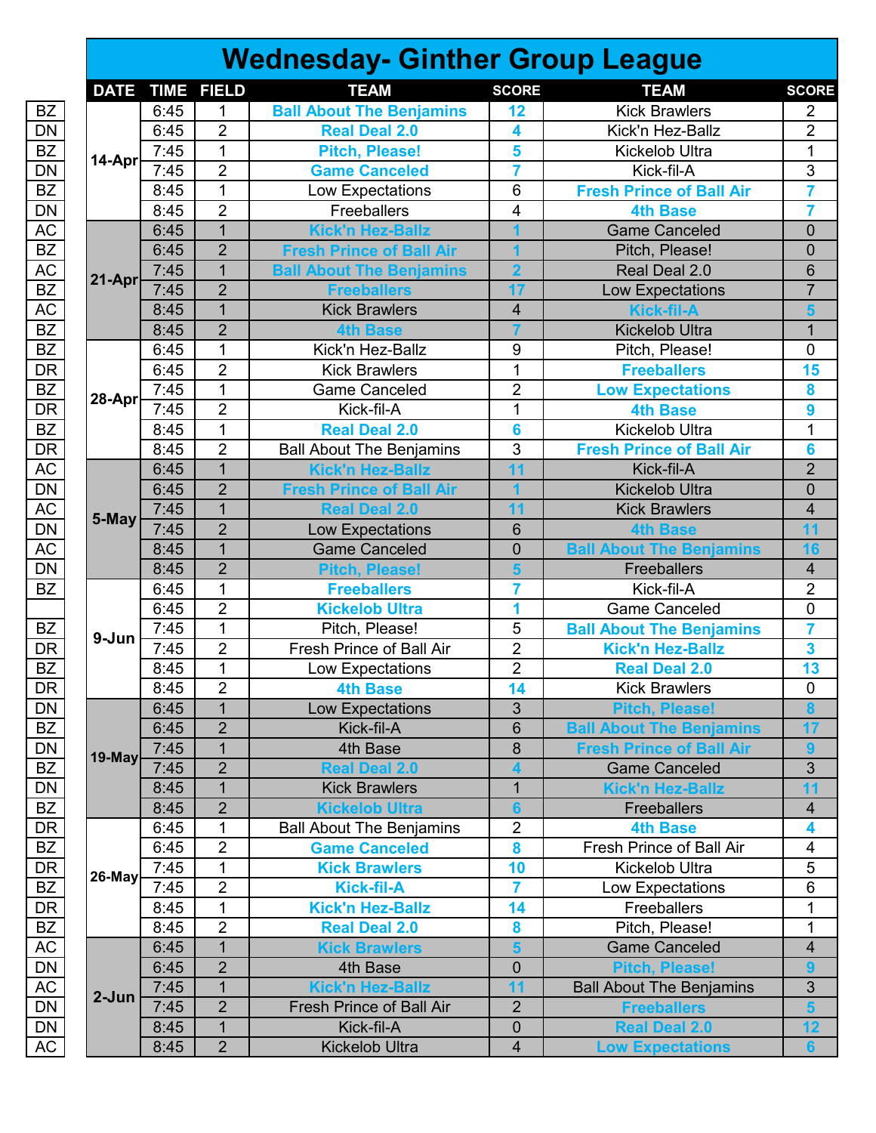## **Wednesday- Ginther Group League**

|                                          | <b>DATE</b> | <b>TIME</b> | <b>FIELD</b>   | <b>TEAM</b>                     | <b>SCORE</b>   | <b>TEAM</b>                     | <b>SCORE</b>            |
|------------------------------------------|-------------|-------------|----------------|---------------------------------|----------------|---------------------------------|-------------------------|
| <b>BZ</b>                                |             | 6:45        | 1              | <b>Ball About The Benjamins</b> | 12             | <b>Kick Brawlers</b>            | $\overline{2}$          |
| $\overline{\mathsf{DN}}$                 |             | 6:45        | $\overline{2}$ | <b>Real Deal 2.0</b>            | 4              | Kick'n Hez-Ballz                | $\overline{2}$          |
| $\overline{BZ}$                          |             | 7:45        | $\mathbf{1}$   | <b>Pitch, Please!</b>           | 5              | Kickelob Ultra                  | 1                       |
| $\overline{\mathsf{DN}}$                 | 14-Apr      | 7:45        | $\overline{2}$ | <b>Game Canceled</b>            | 7              | Kick-fil-A                      | 3                       |
| BZ                                       |             | 8:45        | $\overline{1}$ | Low Expectations                | 6              | <b>Fresh Prince of Ball Air</b> | $\overline{7}$          |
| $\overline{\mathsf{DN}}$                 |             | 8:45        | $\overline{2}$ | Freeballers                     | 4              | <b>4th Base</b>                 | 7                       |
|                                          |             | 6:45        | $\overline{1}$ | <b>Kick'n Hez-Ballz</b>         |                | <b>Game Canceled</b>            | $\overline{0}$          |
| AC<br>BZ<br>AC<br>BZ                     |             | 6:45        | $\overline{2}$ | <b>Fresh Prince of Ball Air</b> |                | Pitch, Please!                  | $\overline{0}$          |
|                                          |             | 7:45        | $\mathbf{1}$   | <b>Ball About The Benjamins</b> | $\overline{2}$ | Real Deal 2.0                   | 6                       |
|                                          | 21-Apr      | 7:45        | $\overline{2}$ | <b>Freeballers</b>              | 17             | Low Expectations                | $\overline{7}$          |
|                                          |             | 8:45        | $\overline{1}$ | <b>Kick Brawlers</b>            | 4              | <b>Kick-fil-A</b>               | 5                       |
| AC<br>BZ<br>BZ                           |             | 8:45        | $\overline{2}$ | <b>4th Base</b>                 |                | <b>Kickelob Ultra</b>           | $\mathbf{1}$            |
|                                          |             | 6:45        | $\mathbf{1}$   | Kick'n Hez-Ballz                | 9              | Pitch, Please!                  | $\overline{0}$          |
|                                          |             | 6:45        | $\overline{2}$ | <b>Kick Brawlers</b>            | $\mathbf{1}$   | <b>Freeballers</b>              | 15                      |
| DR<br>BZ<br>DR                           |             | 7:45        | 1              | Game Canceled                   | $\overline{2}$ | <b>Low Expectations</b>         | 8                       |
|                                          | 28-Apr      | 7:45        | $\overline{2}$ | Kick-fil-A                      | $\mathbf{1}$   | <b>4th Base</b>                 | 9                       |
| $\overline{BZ}$                          |             | 8:45        | $\mathbf{1}$   | <b>Real Deal 2.0</b>            | 6              | Kickelob Ultra                  | 1                       |
| $\overline{\mathsf{DR}}$                 |             | 8:45        | $\overline{2}$ | <b>Ball About The Benjamins</b> | $\overline{3}$ | <b>Fresh Prince of Ball Air</b> | 6                       |
| <u>AC</u>                                |             | 6:45        | $\overline{1}$ | <b>Kick'n Hez-Ballz</b>         | 11             | Kick-fil-A                      | $\overline{2}$          |
|                                          |             | 6:45        | $\overline{2}$ | <b>Fresh Prince of Ball Air</b> |                | <b>Kickelob Ultra</b>           | $\overline{0}$          |
|                                          |             | 7:45        | $\mathbf 1$    | <b>Real Deal 2.0</b>            | 11             | <b>Kick Brawlers</b>            | $\overline{\mathbf{4}}$ |
| DN<br>AC<br>DN                           | 5-May       | 7:45        | $\overline{2}$ | Low Expectations                | 6              | <b>4th Base</b>                 | 11                      |
| AC                                       |             | 8:45        | $\overline{1}$ | <b>Game Canceled</b>            | $\overline{0}$ | <b>Ball About The Benjamins</b> | 16                      |
|                                          |             | 8:45        | $\overline{2}$ | <b>Pitch, Please!</b>           |                | Freeballers                     | $\overline{\mathbf{4}}$ |
| $\frac{\overline{\text{DN}}}{\text{BZ}}$ |             | 6:45        | $\mathbf{1}$   | <b>Freeballers</b>              | 7              | Kick-fil-A                      | $\overline{2}$          |
|                                          |             | 6:45        | $\overline{2}$ | <b>Kickelob Ultra</b>           | 1              | <b>Game Canceled</b>            | 0                       |
| BZ                                       |             | 7:45        | $\overline{1}$ | Pitch, Please!                  | 5              | <b>Ball About The Benjamins</b> | 7                       |
| $\overline{\mathsf{DR}}$                 | 9-Jun       | 7:45        | $\overline{2}$ | Fresh Prince of Ball Air        | $\overline{2}$ | <b>Kick'n Hez-Ballz</b>         | 3                       |
| $\overline{BZ}$                          |             | 8:45        | $\mathbf{1}$   | Low Expectations                | $\overline{2}$ | <b>Real Deal 2.0</b>            | 13                      |
|                                          |             | 8:45        | $\overline{2}$ | <b>4th Base</b>                 | 14             | <b>Kick Brawlers</b>            | $\pmb{0}$               |
| DR<br>DN                                 |             | 6:45        | $\overline{1}$ | Low Expectations                | $\overline{3}$ | <b>Pitch, Please!</b>           | 8                       |
| $\overline{BZ}$                          |             | 6:45        | $\overline{2}$ | Kick-fil-A                      | 6              | <b>Ball About The Benjamins</b> | 17                      |
|                                          |             | 7:45        | $\mathbf{1}$   | 4th Base                        | 8              | <b>Fresh Prince of Ball Air</b> |                         |
| $\frac{\text{DN}}{\text{BZ}}$            | $19$ -May   | 7:45        | $\overline{2}$ | <b>Real Deal 2.0</b>            | 4              | <b>Game Canceled</b>            | $\mathfrak{S}$          |
|                                          |             | 8:45        | $\mathbf{1}$   | <b>Kick Brawlers</b>            | $\mathbf 1$    | <b>Kick'n Hez-Ballz</b>         | 11                      |
| $\frac{\overline{\text{DN}}}{\text{BZ}}$ |             | 8:45        | $\overline{2}$ | <b>Kickelob Ultra</b>           | 6              | <b>Freeballers</b>              | $\overline{\mathbf{4}}$ |
|                                          |             | 6:45        | 1              | <b>Ball About The Benjamins</b> | $\overline{2}$ | <b>4th Base</b>                 | 4                       |
| $\frac{\overline{DR}}{\overline{BZ}}$    |             | 6:45        | $\overline{2}$ | <b>Game Canceled</b>            | 8              | Fresh Prince of Ball Air        | 4                       |
|                                          |             | 7:45        | 1              | <b>Kick Brawlers</b>            | 10             | Kickelob Ultra                  | 5                       |
| DR<br>BZ<br>DR<br>BZ                     | $26$ -May   | 7:45        | 2              | <b>Kick-fil-A</b>               | 7              | Low Expectations                | 6                       |
|                                          |             | 8:45        | $\mathbf 1$    | <b>Kick'n Hez-Ballz</b>         | 14             | Freeballers                     | 1                       |
|                                          |             | 8:45        | $\overline{2}$ | <b>Real Deal 2.0</b>            | 8              | Pitch, Please!                  | 1                       |
|                                          |             | 6:45        | $\mathbf{1}$   | <b>Kick Brawlers</b>            | 5              | <b>Game Canceled</b>            | $\overline{\mathbf{4}}$ |
|                                          |             | 6:45        | $\overline{2}$ | 4th Base                        | 0              | <b>Pitch, Please!</b>           | 9                       |
|                                          |             | 7:45        | $\mathbf{1}$   | <b>Kick'n Hez-Ballz</b>         | 11             | <b>Ball About The Benjamins</b> | $\sqrt{3}$              |
|                                          | 2-Jun       | 7:45        | $\overline{2}$ | <b>Fresh Prince of Ball Air</b> | $\overline{2}$ | <b>Freeballers</b>              | $5\phantom{1}$          |
| AC<br>DN<br>AC<br>DN<br>DN               |             | 8:45        | $\mathbf{1}$   | Kick-fil-A                      | 0              | <b>Real Deal 2.0</b>            | 12                      |
| AC                                       |             | 8:45        | $\overline{2}$ | <b>Kickelob Ultra</b>           | 4              | <b>Low Expectations</b>         | $6\phantom{a}$          |
|                                          |             |             |                |                                 |                |                                 |                         |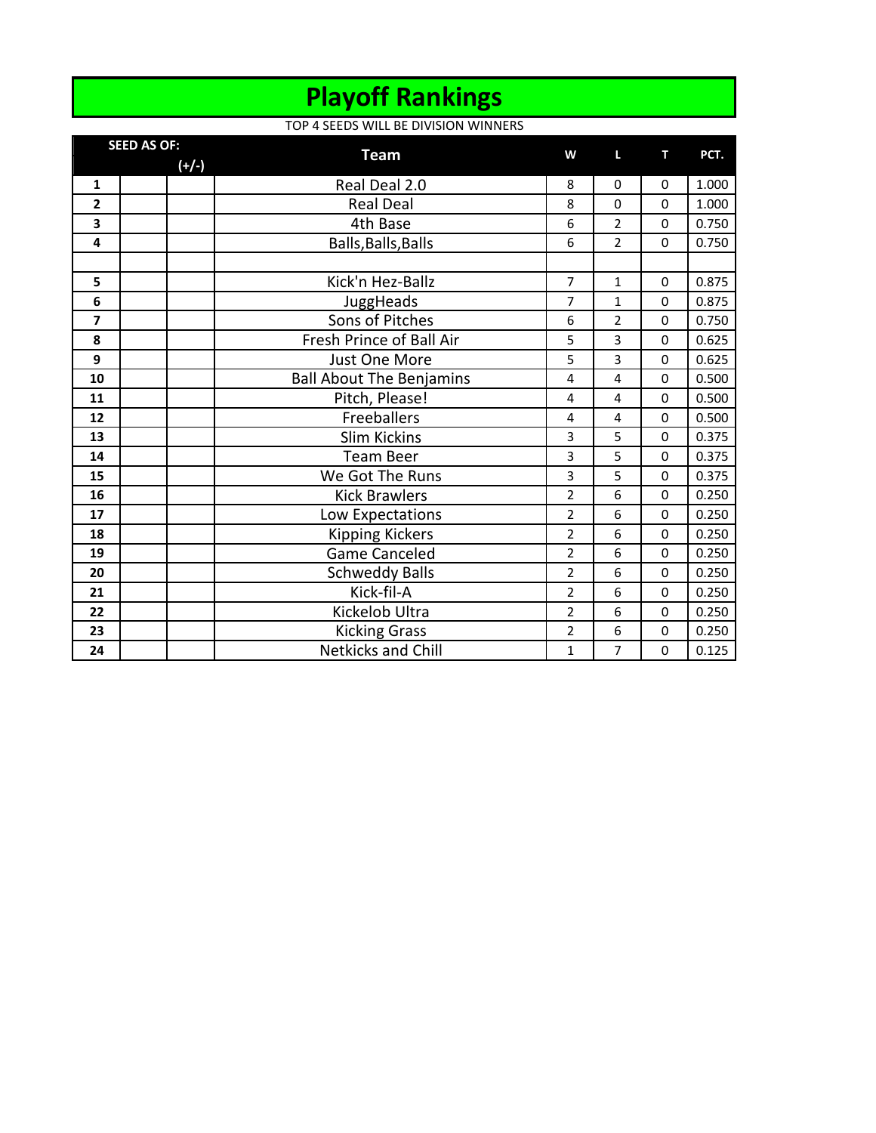### **Playoff Rankings**

#### TOP 4 SEEDS WILL BE DIVISION WINNERS

| <b>SEED AS OF:</b>      |         |                                 | W              | L              | т           | PCT.  |
|-------------------------|---------|---------------------------------|----------------|----------------|-------------|-------|
|                         | $(+/-)$ | <b>Team</b>                     |                |                |             |       |
| $\mathbf{1}$            |         | Real Deal 2.0                   | 8              | $\Omega$       | 0           | 1.000 |
| $\overline{2}$          |         | <b>Real Deal</b>                | 8              | $\Omega$       | $\Omega$    | 1.000 |
| 3                       |         | 4th Base                        | 6              | $\overline{2}$ | $\Omega$    | 0.750 |
| 4                       |         | Balls, Balls, Balls             | 6              | 2              | 0           | 0.750 |
|                         |         |                                 |                |                |             |       |
| 5                       |         | Kick'n Hez-Ballz                | $\overline{7}$ | $\mathbf{1}$   | $\Omega$    | 0.875 |
| 6                       |         | JuggHeads                       | $\overline{7}$ | $\mathbf{1}$   | $\Omega$    | 0.875 |
| $\overline{\mathbf{z}}$ |         | Sons of Pitches                 | 6              | 2              | $\Omega$    | 0.750 |
| 8                       |         | Fresh Prince of Ball Air        | 5              | 3              | 0           | 0.625 |
| 9                       |         | Just One More                   | 5              | 3              | $\Omega$    | 0.625 |
| 10                      |         | <b>Ball About The Benjamins</b> | 4              | 4              | $\Omega$    | 0.500 |
| 11                      |         | Pitch, Please!                  | $\overline{4}$ | 4              | $\Omega$    | 0.500 |
| 12                      |         | Freeballers                     | 4              | 4              | 0           | 0.500 |
| 13                      |         | <b>Slim Kickins</b>             | 3              | 5              | $\Omega$    | 0.375 |
| 14                      |         | <b>Team Beer</b>                | 3              | 5              | $\Omega$    | 0.375 |
| 15                      |         | We Got The Runs                 | 3              | 5              | $\Omega$    | 0.375 |
| 16                      |         | <b>Kick Brawlers</b>            | $\overline{2}$ | 6              | 0           | 0.250 |
| 17                      |         | Low Expectations                | $\overline{2}$ | 6              | 0           | 0.250 |
| 18                      |         | <b>Kipping Kickers</b>          | $\overline{2}$ | 6              | 0           | 0.250 |
| 19                      |         | <b>Game Canceled</b>            | $\overline{2}$ | 6              | 0           | 0.250 |
| 20                      |         | <b>Schweddy Balls</b>           | $\overline{2}$ | 6              | $\Omega$    | 0.250 |
| 21                      |         | Kick-fil-A                      | $\overline{2}$ | 6              | $\mathbf 0$ | 0.250 |
| 22                      |         | Kickelob Ultra                  | $\overline{2}$ | 6              | 0           | 0.250 |
| 23                      |         | <b>Kicking Grass</b>            | $\overline{2}$ | 6              | $\mathbf 0$ | 0.250 |
| 24                      |         | <b>Netkicks and Chill</b>       | 1              | 7              | 0           | 0.125 |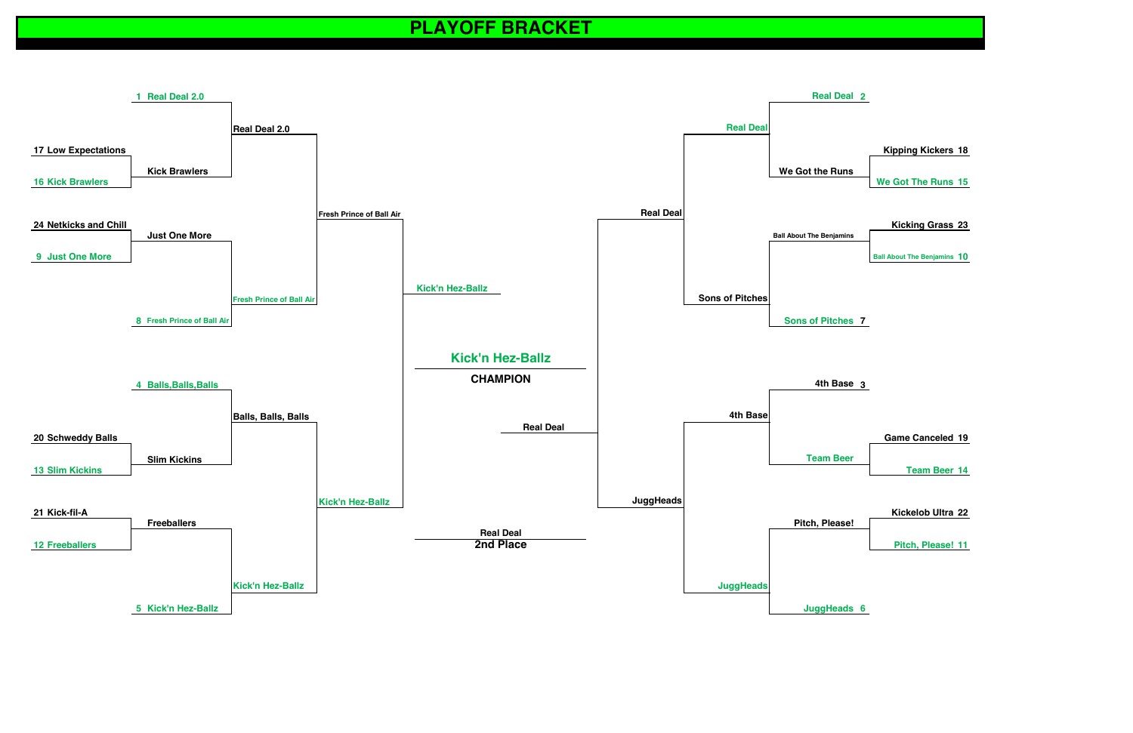**1st ROUND SWEET 16 ELITE EIGHT FINAL FOUR FINAL FOUR ELITE EIGHT SWEET 16**



|       | <b>Kickelob Ultra 22</b> |
|-------|--------------------------|
| ease! |                          |
|       |                          |
|       | Pitch, Please! 11        |

# **PLAYOFF BRACKET**